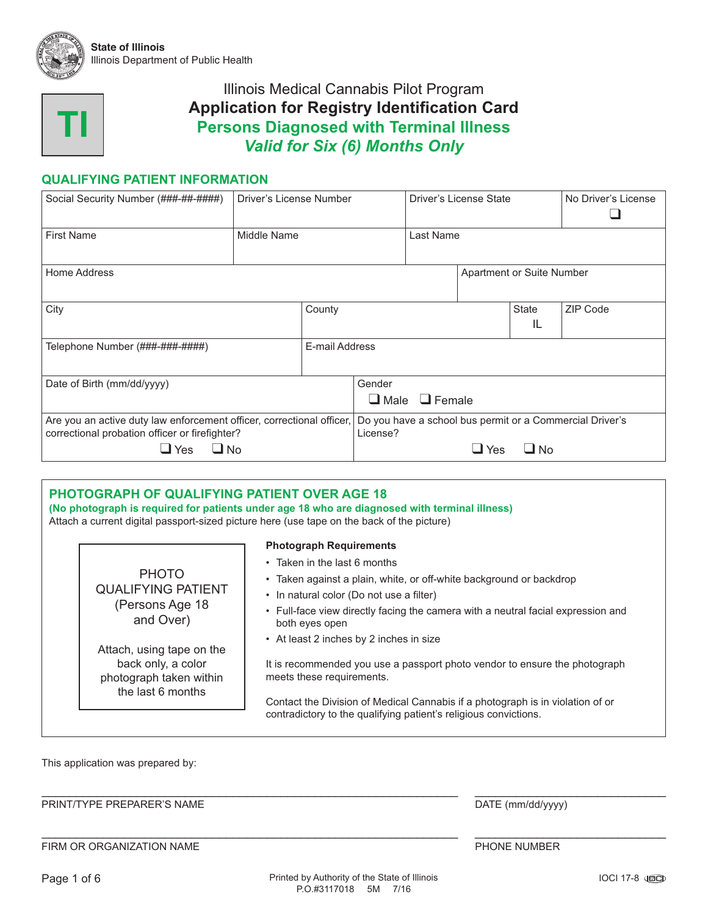



### **QUALIFYING PATIENT INFORMATION**

| Social Security Number (###-##-####)                                                                                    | Driver's License Number |                | Driver's License State                                               |           |                           | No Driver's License |  |  |
|-------------------------------------------------------------------------------------------------------------------------|-------------------------|----------------|----------------------------------------------------------------------|-----------|---------------------------|---------------------|--|--|
| <b>First Name</b>                                                                                                       | Middle Name             |                |                                                                      | Last Name |                           |                     |  |  |
| Home Address                                                                                                            |                         |                |                                                                      |           | Apartment or Suite Number |                     |  |  |
| City                                                                                                                    |                         | County         |                                                                      |           | State<br>IL               | ZIP Code            |  |  |
| Telephone Number (###-###-#####)                                                                                        |                         | E-mail Address |                                                                      |           |                           |                     |  |  |
| Date of Birth (mm/dd/yyyy)                                                                                              |                         |                | Gender<br>$\Box$ Female<br>$\Box$ Male                               |           |                           |                     |  |  |
| Are you an active duty law enforcement officer, correctional officer,<br>correctional probation officer or firefighter? |                         |                | Do you have a school bus permit or a Commercial Driver's<br>License? |           |                           |                     |  |  |
| $\Box$ No<br>$\Box$ Yes                                                                                                 |                         |                | $\Box$ No<br>$\Box$ Yes                                              |           |                           |                     |  |  |

|  | <b>PHOTOGRAPH OF QUALIFYING PATIENT OVER AGE 18</b>                       | (No photograph is required for patients under age 18 who are diagnosed with terminal illness)<br>Attach a current digital passport-sized picture here (use tape on the back of the picture) |
|--|---------------------------------------------------------------------------|---------------------------------------------------------------------------------------------------------------------------------------------------------------------------------------------|
|  |                                                                           | <b>Photograph Requirements</b>                                                                                                                                                              |
|  | <b>PHOTO</b><br><b>QUALIFYING PATIENT</b><br>(Persons Age 18<br>and Over) | • Taken in the last 6 months                                                                                                                                                                |
|  |                                                                           | • Taken against a plain, white, or off-white background or backdrop                                                                                                                         |
|  |                                                                           | • In natural color (Do not use a filter)                                                                                                                                                    |
|  |                                                                           | • Full-face view directly facing the camera with a neutral facial expression and<br>both eyes open                                                                                          |
|  | Attach, using tape on the                                                 | • At least 2 inches by 2 inches in size                                                                                                                                                     |
|  | back only, a color<br>photograph taken within<br>the last 6 months        | It is recommended you use a passport photo vendor to ensure the photograph<br>meets these requirements.                                                                                     |
|  |                                                                           | Contact the Division of Medical Cannabis if a photograph is in violation of or<br>contradictory to the qualifying patient's religious convictions.                                          |
|  |                                                                           |                                                                                                                                                                                             |

This application was prepared by:

#### PRINT/TYPE PREPARER'S NAME DATE (mm/dd/yyyy)

FIRM OR ORGANIZATION NAME **FIRM OR ORGANIZATION NAME** 

\_\_\_\_\_\_\_\_\_\_\_\_\_\_\_\_\_\_\_\_\_\_\_\_\_\_\_\_\_\_\_\_\_\_\_\_\_\_\_\_\_\_\_\_\_\_\_\_\_\_\_\_\_\_\_\_\_\_\_\_\_ \_\_\_\_\_\_\_\_\_\_\_\_\_\_\_\_\_\_\_\_\_\_\_\_\_\_\_\_

\_\_\_\_\_\_\_\_\_\_\_\_\_\_\_\_\_\_\_\_\_\_\_\_\_\_\_\_\_\_\_\_\_\_\_\_\_\_\_\_\_\_\_\_\_\_\_\_\_\_\_\_\_\_\_\_\_\_\_\_\_ \_\_\_\_\_\_\_\_\_\_\_\_\_\_\_\_\_\_\_\_\_\_\_\_\_\_\_\_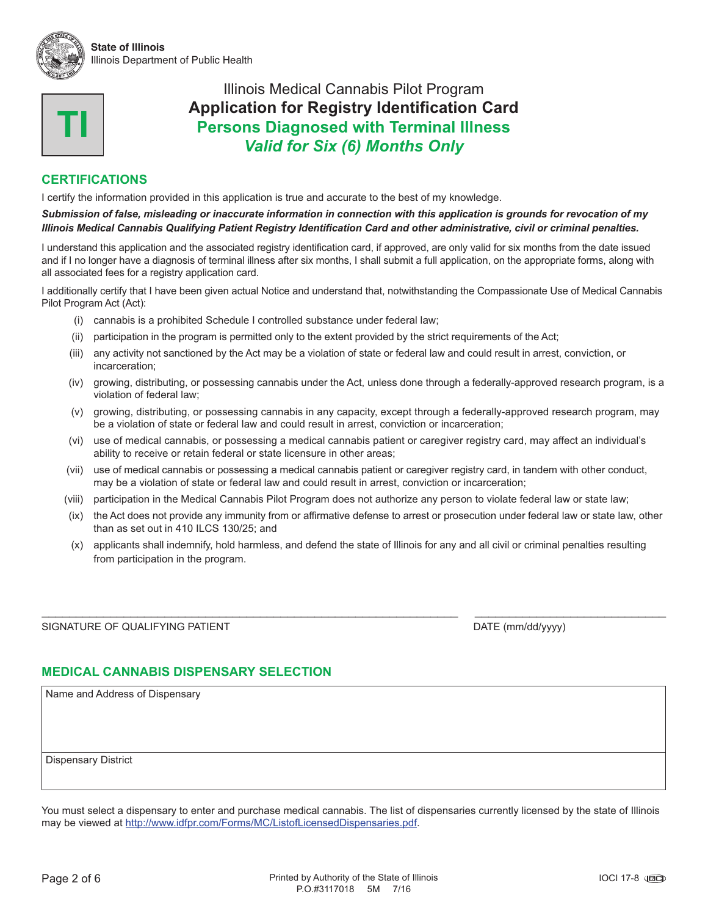



### **CERTIFICATIONS**

I certify the information provided in this application is true and accurate to the best of my knowledge.

#### *Submission of false, misleading or inaccurate information in connection with this application is grounds for revocation of my Illinois Medical Cannabis Qualifying Patient Registry Identification Card and other administrative, civil or criminal penalties.*

I understand this application and the associated registry identification card, if approved, are only valid for six months from the date issued and if I no longer have a diagnosis of terminal illness after six months, I shall submit a full application, on the appropriate forms, along with all associated fees for a registry application card.

I additionally certify that I have been given actual Notice and understand that, notwithstanding the Compassionate Use of Medical Cannabis Pilot Program Act (Act):

- (i) cannabis is a prohibited Schedule I controlled substance under federal law;
- (ii) participation in the program is permitted only to the extent provided by the strict requirements of the Act;
- (iii) any activity not sanctioned by the Act may be a violation of state or federal law and could result in arrest, conviction, or incarceration;
- (iv) growing, distributing, or possessing cannabis under the Act, unless done through a federally-approved research program, is a violation of federal law;
- (v) growing, distributing, or possessing cannabis in any capacity, except through a federally-approved research program, may be a violation of state or federal law and could result in arrest, conviction or incarceration;
- (vi) use of medical cannabis, or possessing a medical cannabis patient or caregiver registry card, may affect an individual's ability to receive or retain federal or state licensure in other areas;
- (vii) use of medical cannabis or possessing a medical cannabis patient or caregiver registry card, in tandem with other conduct, may be a violation of state or federal law and could result in arrest, conviction or incarceration;
- (viii) participation in the Medical Cannabis Pilot Program does not authorize any person to violate federal law or state law;
- (ix) the Act does not provide any immunity from or affirmative defense to arrest or prosecution under federal law or state law, other than as set out in 410 ILCS 130/25; and
- (x) applicants shall indemnify, hold harmless, and defend the state of Illinois for any and all civil or criminal penalties resulting from participation in the program.

\_\_\_\_\_\_\_\_\_\_\_\_\_\_\_\_\_\_\_\_\_\_\_\_\_\_\_\_\_\_\_\_\_\_\_\_\_\_\_\_\_\_\_\_\_\_\_\_\_\_\_\_\_\_\_\_\_\_\_\_\_ \_\_\_\_\_\_\_\_\_\_\_\_\_\_\_\_\_\_\_\_\_\_\_\_\_\_\_\_

SIGNATURE OF QUALIFYING PATIENT **Example 2018** 2019 12:30 DATE (mm/dd/yyyy)

### **MEDICAL CANNABIS DISPENSARY SELECTION**

Name and Address of Dispensary

Dispensary District

You must select a dispensary to enter and purchase medical cannabis. The list of dispensaries currently licensed by the state of Illinois may be viewed at [http://www.idfpr.com/Forms/MC/ListofLicensedDispensaries.pdf.](http://www.idfpr.com/Forms/MC/ListofLicensedDispensaries.pdf)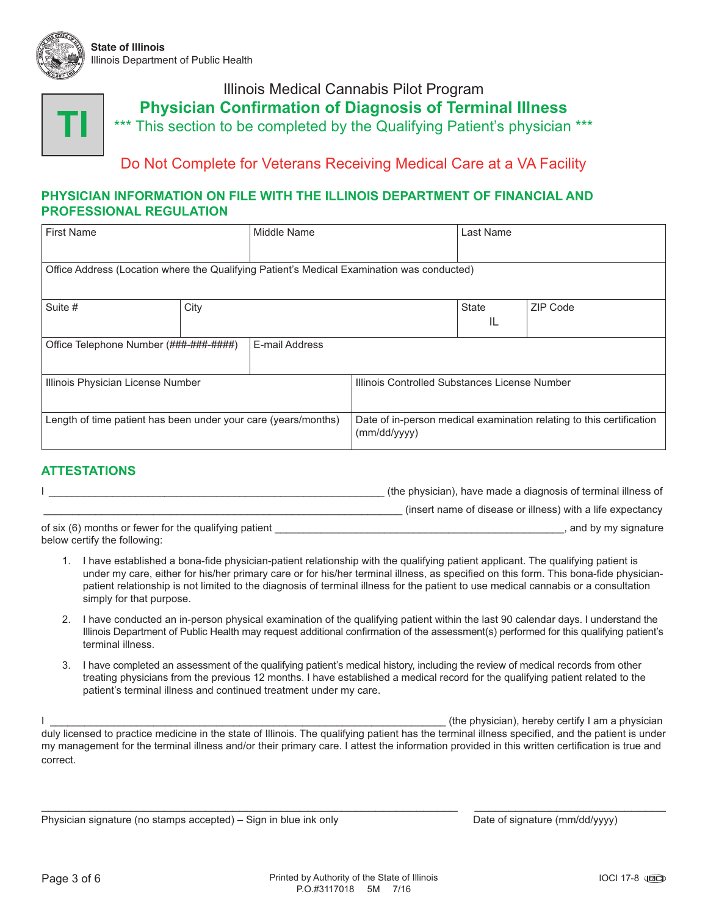



## Illinois Medical Cannabis Pilot Program **Physician Confirmation of Diagnosis of Terminal Illness** \*\*\* This section to be completed by the Qualifying Patient's physician \*\*\*

### Do Not Complete for Veterans Receiving Medical Care at a VA Facility

#### **PHYSICIAN INFORMATION ON FILE WITH THE ILLINOIS DEPARTMENT OF FINANCIAL AND PROFESSIONAL REGULATION**

| <b>First Name</b>                                                                          |  | Middle Name                                                                          |                                               | Last Name    |          |  |
|--------------------------------------------------------------------------------------------|--|--------------------------------------------------------------------------------------|-----------------------------------------------|--------------|----------|--|
|                                                                                            |  |                                                                                      |                                               |              |          |  |
| Office Address (Location where the Qualifying Patient's Medical Examination was conducted) |  |                                                                                      |                                               |              |          |  |
|                                                                                            |  |                                                                                      |                                               |              |          |  |
| Suite #<br>City                                                                            |  |                                                                                      |                                               | <b>State</b> | ZIP Code |  |
|                                                                                            |  |                                                                                      |                                               | IL           |          |  |
| E-mail Address<br>Office Telephone Number (###-###-#####)                                  |  |                                                                                      |                                               |              |          |  |
|                                                                                            |  |                                                                                      |                                               |              |          |  |
| Illinois Physician License Number                                                          |  |                                                                                      | Illinois Controlled Substances License Number |              |          |  |
|                                                                                            |  |                                                                                      |                                               |              |          |  |
| Length of time patient has been under your care (years/months)                             |  | Date of in-person medical examination relating to this certification<br>(mm/dd/yyyy) |                                               |              |          |  |

### **ATTESTATIONS**

|                                                       | (the physician), have made a diagnosis of terminal illness of |
|-------------------------------------------------------|---------------------------------------------------------------|
|                                                       | (insert name of disease or illness) with a life expectancy    |
| of six (6) months or fewer for the qualifying patient | , and by my signature                                         |

below certify the following:

- 1. I have established a bona-fide physician-patient relationship with the qualifying patient applicant. The qualifying patient is under my care, either for his/her primary care or for his/her terminal illness, as specified on this form. This bona-fide physicianpatient relationship is not limited to the diagnosis of terminal illness for the patient to use medical cannabis or a consultation simply for that purpose.
- 2. I have conducted an in-person physical examination of the qualifying patient within the last 90 calendar days. I understand the Illinois Department of Public Health may request additional confirmation of the assessment(s) performed for this qualifying patient's terminal illness.
- 3. I have completed an assessment of the qualifying patient's medical history, including the review of medical records from other treating physicians from the previous 12 months. I have established a medical record for the qualifying patient related to the patient's terminal illness and continued treatment under my care.

I am external intervals and the physician of the physician), hereby certify I am a physician intervals and  $\frac{1}{2}$ duly licensed to practice medicine in the state of Illinois. The qualifying patient has the terminal illness specified, and the patient is under my management for the terminal illness and/or their primary care. I attest the information provided in this written certification is true and correct.

\_\_\_\_\_\_\_\_\_\_\_\_\_\_\_\_\_\_\_\_\_\_\_\_\_\_\_\_\_\_\_\_\_\_\_\_\_\_\_\_\_\_\_\_\_\_\_\_\_\_\_\_\_\_\_\_\_\_\_\_\_ \_\_\_\_\_\_\_\_\_\_\_\_\_\_\_\_\_\_\_\_\_\_\_\_\_\_\_\_

Physician signature (no stamps accepted) – Sign in blue ink only example of signature (mm/dd/yyyy)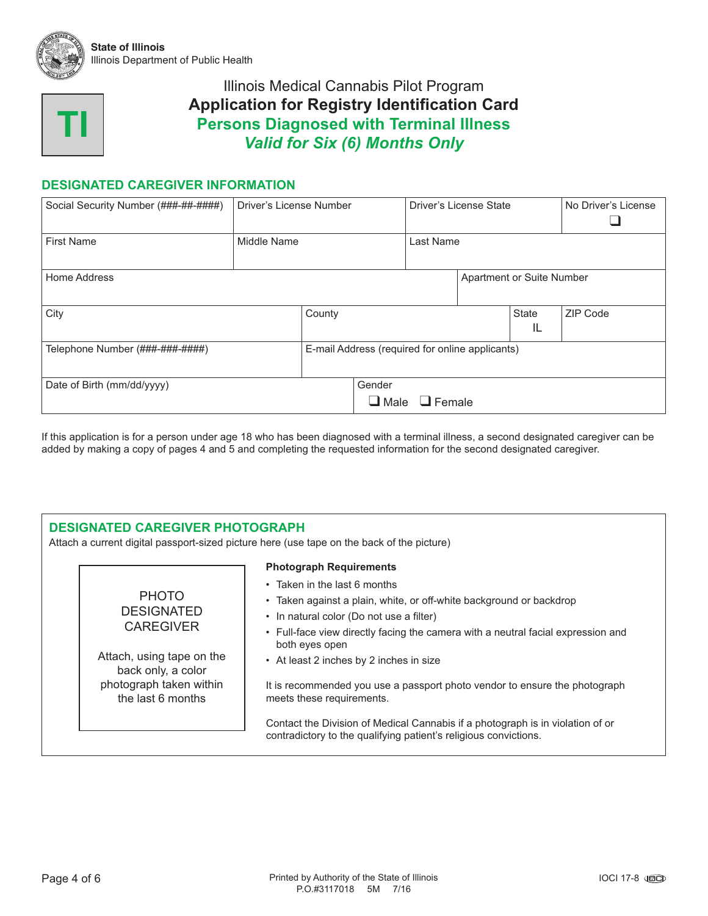



### **DESIGNATED CAREGIVER INFORMATION**

| Social Security Number (###-##-#####) | Driver's License Number |        |                                                 | Driver's License State    |                           |          | No Driver's License |
|---------------------------------------|-------------------------|--------|-------------------------------------------------|---------------------------|---------------------------|----------|---------------------|
| <b>First Name</b>                     | Middle Name             |        |                                                 | Last Name                 |                           |          |                     |
| Home Address                          |                         |        |                                                 |                           | Apartment or Suite Number |          |                     |
| City                                  |                         | County |                                                 |                           | <b>State</b><br>IL        | ZIP Code |                     |
| Telephone Number (###-###-####)       |                         |        | E-mail Address (required for online applicants) |                           |                           |          |                     |
| Date of Birth (mm/dd/yyyy)            |                         |        | Gender                                          | $\Box$ Male $\Box$ Female |                           |          |                     |

If this application is for a person under age 18 who has been diagnosed with a terminal illness, a second designated caregiver can be added by making a copy of pages 4 and 5 and completing the requested information for the second designated caregiver.

#### **DESIGNATED CAREGIVER PHOTOGRAPH**

Attach a current digital passport-sized picture here (use tape on the back of the picture)

#### PHOTO DESIGNATED **CAREGIVER**

Attach, using tape on the back only, a color photograph taken within the last 6 months

#### **Photograph Requirements**

- Taken in the last 6 months
- Taken against a plain, white, or off-white background or backdrop
- In natural color (Do not use a filter)
- Full-face view directly facing the camera with a neutral facial expression and both eyes open
- At least 2 inches by 2 inches in size

It is recommended you use a passport photo vendor to ensure the photograph meets these requirements.

Contact the Division of Medical Cannabis if a photograph is in violation of or contradictory to the qualifying patient's religious convictions.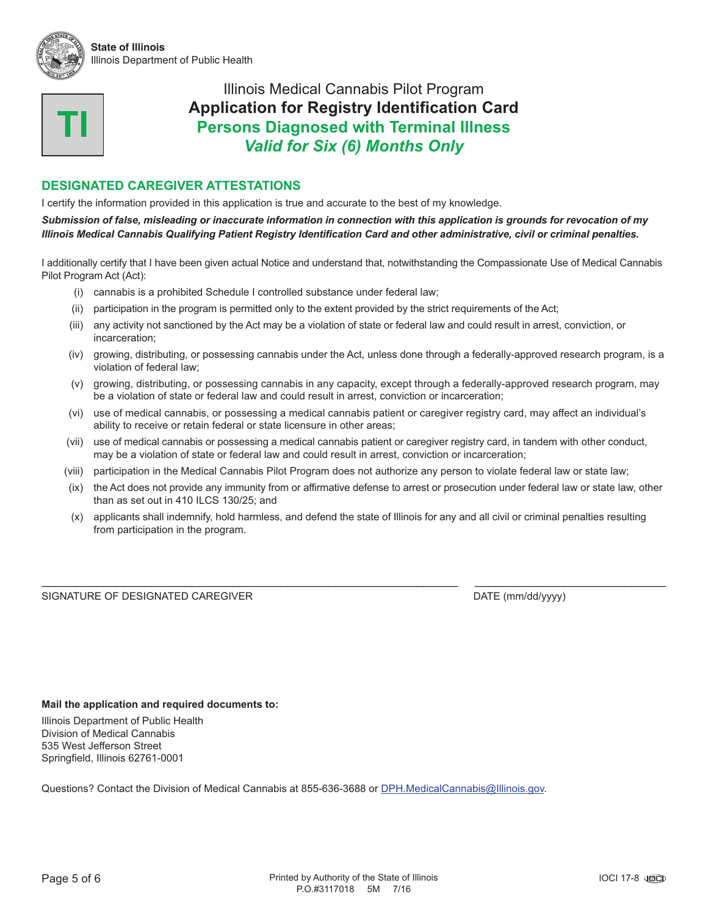



#### **DESIGNATED CAREGIVER ATTESTATIONS**

I certify the information provided in this application is true and accurate to the best of my knowledge.

*Submission of false, misleading or inaccurate information in connection with this application is grounds for revocation of my Illinois Medical Cannabis Qualifying Patient Registry Identification Card and other administrative, civil or criminal penalties.*

I additionally certify that I have been given actual Notice and understand that, notwithstanding the Compassionate Use of Medical Cannabis Pilot Program Act (Act):

- (i) cannabis is a prohibited Schedule I controlled substance under federal law;
- (ii) participation in the program is permitted only to the extent provided by the strict requirements of the Act;
- (iii) any activity not sanctioned by the Act may be a violation of state or federal law and could result in arrest, conviction, or incarceration;
- (iv) growing, distributing, or possessing cannabis under the Act, unless done through a federally-approved research program, is a violation of federal law;
- (v) growing, distributing, or possessing cannabis in any capacity, except through a federally-approved research program, may be a violation of state or federal law and could result in arrest, conviction or incarceration;
- (vi) use of medical cannabis, or possessing a medical cannabis patient or caregiver registry card, may affect an individual's ability to receive or retain federal or state licensure in other areas;
- (vii) use of medical cannabis or possessing a medical cannabis patient or caregiver registry card, in tandem with other conduct, may be a violation of state or federal law and could result in arrest, conviction or incarceration;
- (viii) participation in the Medical Cannabis Pilot Program does not authorize any person to violate federal law or state law;
- (ix) the Act does not provide any immunity from or affirmative defense to arrest or prosecution under federal law or state law, other than as set out in 410 ILCS 130/25; and
- (x) applicants shall indemnify, hold harmless, and defend the state of Illinois for any and all civil or criminal penalties resulting from participation in the program.

\_\_\_\_\_\_\_\_\_\_\_\_\_\_\_\_\_\_\_\_\_\_\_\_\_\_\_\_\_\_\_\_\_\_\_\_\_\_\_\_\_\_\_\_\_\_\_\_\_\_\_\_\_\_\_\_\_\_\_\_\_ \_\_\_\_\_\_\_\_\_\_\_\_\_\_\_\_\_\_\_\_\_\_\_\_\_\_\_\_

SIGNATURE OF DESIGNATED CAREGIVER **Example 2018** 2019 12:30 DATE (mm/dd/yyyy)

#### **Mail the application and required documents to:**

Illinois Department of Public Health Division of Medical Cannabis 535 West Jefferson Street Springfield, Illinois 62761-0001

Questions? Contact the Division of Medical Cannabis at 855-636-3688 or [DPH.MedicalCannabis@Illinois.gov.](mailto:DPH.MedicalCannabis@Illinois.gov)